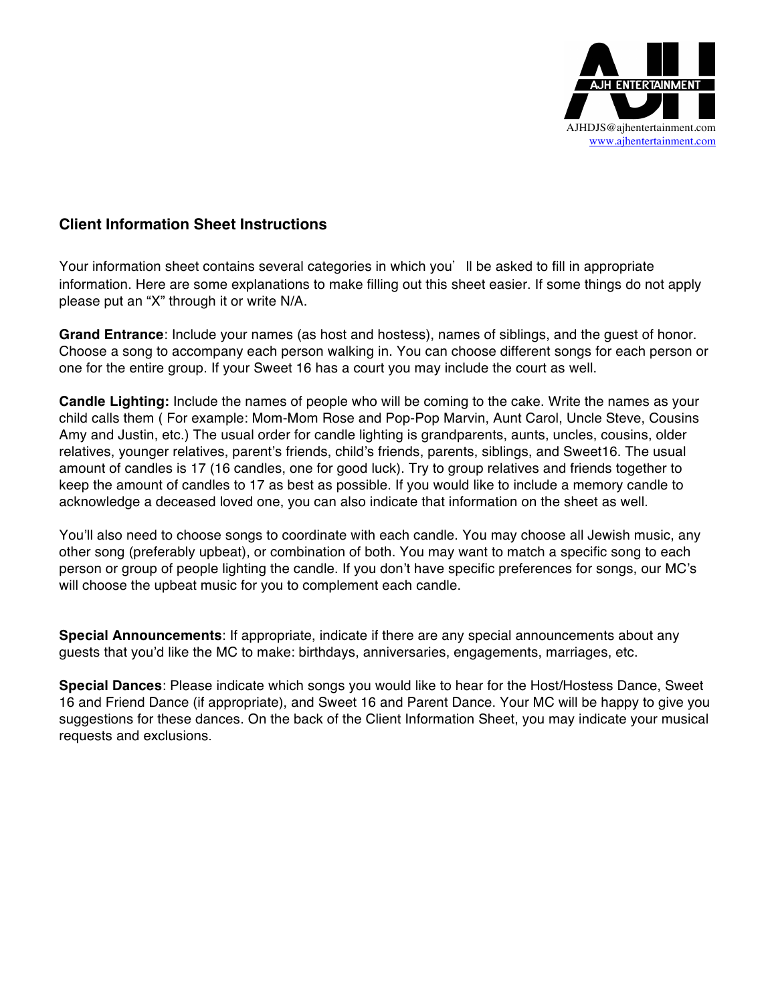

## **Client Information Sheet Instructions**

Your information sheet contains several categories in which you'll be asked to fill in appropriate information. Here are some explanations to make filling out this sheet easier. If some things do not apply please put an "X" through it or write N/A.

**Grand Entrance**: Include your names (as host and hostess), names of siblings, and the guest of honor. Choose a song to accompany each person walking in. You can choose different songs for each person or one for the entire group. If your Sweet 16 has a court you may include the court as well.

**Candle Lighting:** Include the names of people who will be coming to the cake. Write the names as your child calls them ( For example: Mom-Mom Rose and Pop-Pop Marvin, Aunt Carol, Uncle Steve, Cousins Amy and Justin, etc.) The usual order for candle lighting is grandparents, aunts, uncles, cousins, older relatives, younger relatives, parent's friends, child's friends, parents, siblings, and Sweet16. The usual amount of candles is 17 (16 candles, one for good luck). Try to group relatives and friends together to keep the amount of candles to 17 as best as possible. If you would like to include a memory candle to acknowledge a deceased loved one, you can also indicate that information on the sheet as well.

You'll also need to choose songs to coordinate with each candle. You may choose all Jewish music, any other song (preferably upbeat), or combination of both. You may want to match a specific song to each person or group of people lighting the candle. If you don't have specific preferences for songs, our MC's will choose the upbeat music for you to complement each candle.

**Special Announcements**: If appropriate, indicate if there are any special announcements about any guests that you'd like the MC to make: birthdays, anniversaries, engagements, marriages, etc.

**Special Dances**: Please indicate which songs you would like to hear for the Host/Hostess Dance, Sweet 16 and Friend Dance (if appropriate), and Sweet 16 and Parent Dance. Your MC will be happy to give you suggestions for these dances. On the back of the Client Information Sheet, you may indicate your musical requests and exclusions.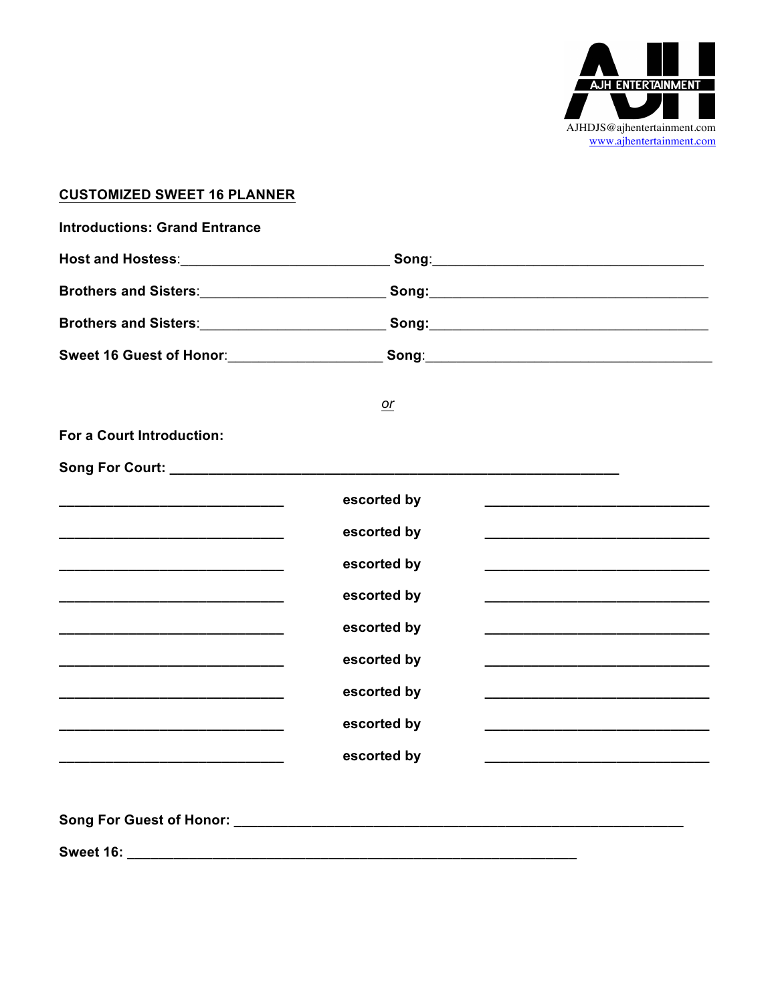

## **CUSTOMIZED SWEET 16 PLANNER**

| Brothers and Sisters:_____________________________Song:_________________________          |             |  |
|-------------------------------------------------------------------------------------------|-------------|--|
| Brothers and Sisters:_______________________________Song:________________________         |             |  |
| Sweet 16 Guest of Honor:_________________________Song:__________________________          |             |  |
|                                                                                           | or          |  |
| For a Court Introduction:                                                                 |             |  |
|                                                                                           |             |  |
|                                                                                           | escorted by |  |
|                                                                                           | escorted by |  |
|                                                                                           | escorted by |  |
|                                                                                           | escorted by |  |
| <u> 1980 - Johann John Stone, mars et al. (1980)</u>                                      | escorted by |  |
| the control of the control of the control of the control of the control of the control of | escorted by |  |
|                                                                                           | escorted by |  |
|                                                                                           | escorted by |  |
|                                                                                           | escorted by |  |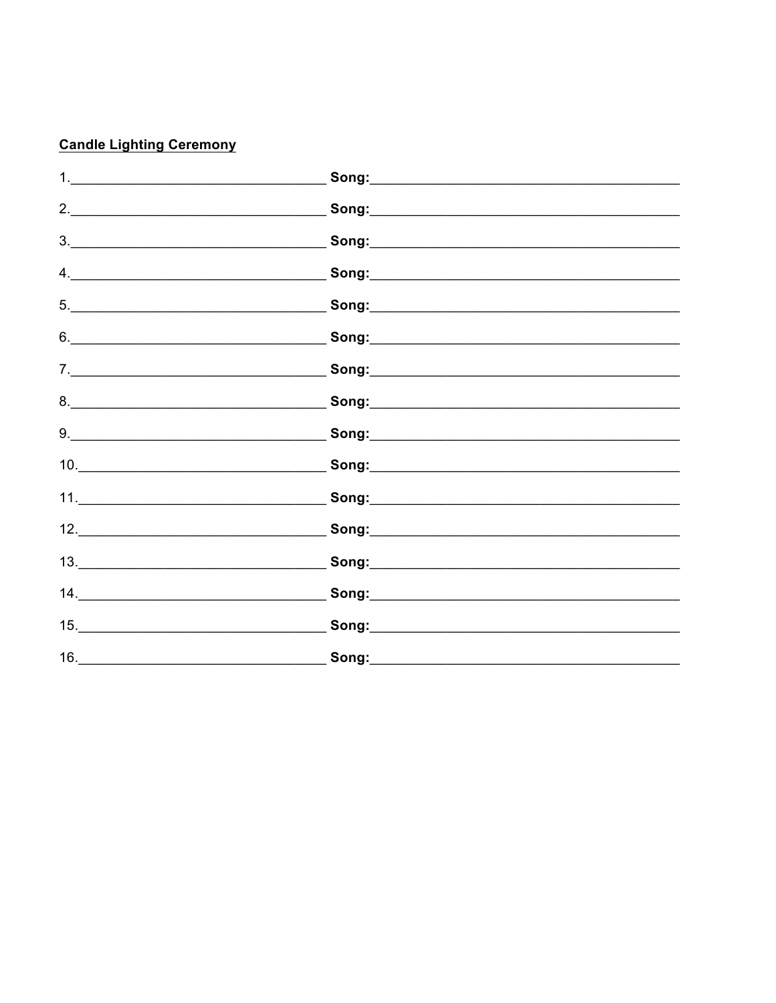# **Candle Lighting Ceremony**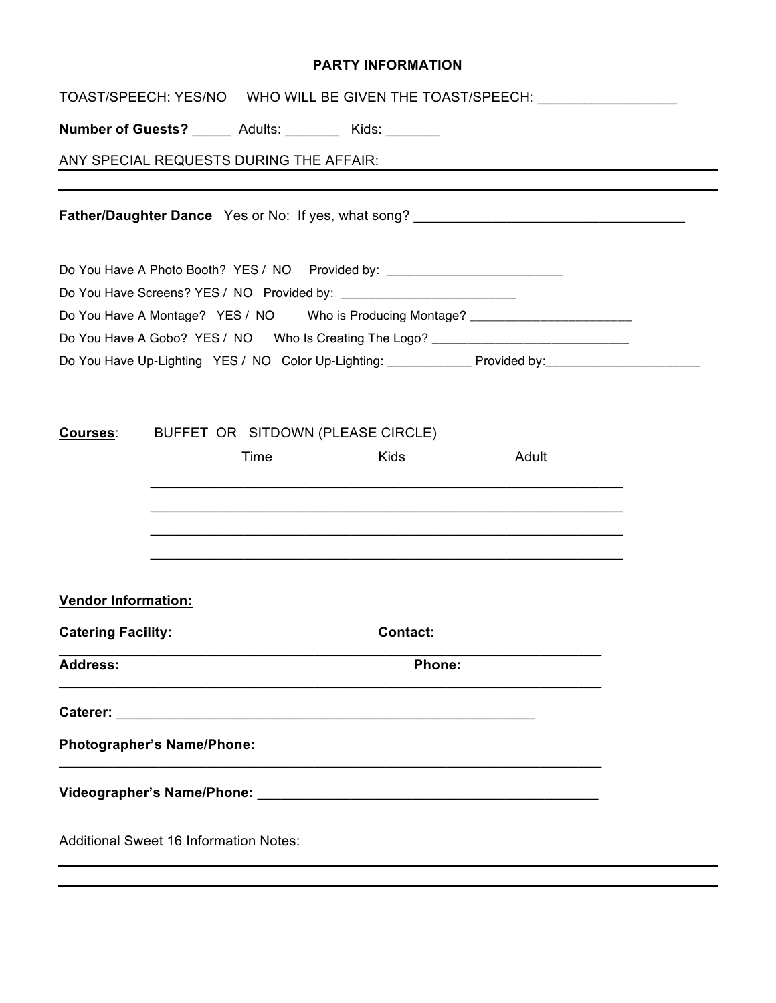#### **PARTY INFORMATION**

|                                               |        |                                         |                                                                                  | TOAST/SPEECH: YES/NO  WHO WILL BE GIVEN THE TOAST/SPEECH: ______________________                                                                                                         |  |  |
|-----------------------------------------------|--------|-----------------------------------------|----------------------------------------------------------------------------------|------------------------------------------------------------------------------------------------------------------------------------------------------------------------------------------|--|--|
|                                               |        |                                         | Number of Guests? ______ Adults: ________ Kids: _______                          |                                                                                                                                                                                          |  |  |
|                                               |        | ANY SPECIAL REQUESTS DURING THE AFFAIR: |                                                                                  |                                                                                                                                                                                          |  |  |
|                                               |        |                                         |                                                                                  | <b>Father/Daughter Dance</b> Yes or No: If yes, what song? _________________________________                                                                                             |  |  |
|                                               |        |                                         | Do You Have A Photo Booth? YES / NO Provided by: _______________________________ |                                                                                                                                                                                          |  |  |
|                                               |        |                                         |                                                                                  |                                                                                                                                                                                          |  |  |
|                                               |        |                                         |                                                                                  | Do You Have A Montage? YES / NO Who is Producing Montage? ______________________                                                                                                         |  |  |
|                                               |        |                                         |                                                                                  | Do You Have A Gobo? YES / NO Who Is Creating The Logo? _________________________<br>Do You Have Up-Lighting YES / NO Color Up-Lighting: ______________ Provided by: ____________________ |  |  |
| <b>Courses:</b>                               |        |                                         | BUFFET OR SITDOWN (PLEASE CIRCLE)                                                |                                                                                                                                                                                          |  |  |
|                                               |        | Time                                    | <b>Kids</b>                                                                      | Adult                                                                                                                                                                                    |  |  |
|                                               |        |                                         |                                                                                  |                                                                                                                                                                                          |  |  |
| <b>Vendor Information:</b>                    |        |                                         |                                                                                  |                                                                                                                                                                                          |  |  |
| <b>Catering Facility:</b>                     |        |                                         | <b>Contact:</b>                                                                  |                                                                                                                                                                                          |  |  |
| <b>Address:</b>                               | Phone: |                                         |                                                                                  |                                                                                                                                                                                          |  |  |
|                                               |        |                                         |                                                                                  |                                                                                                                                                                                          |  |  |
| Photographer's Name/Phone:                    |        |                                         |                                                                                  |                                                                                                                                                                                          |  |  |
|                                               |        |                                         |                                                                                  |                                                                                                                                                                                          |  |  |
| <b>Additional Sweet 16 Information Notes:</b> |        |                                         |                                                                                  |                                                                                                                                                                                          |  |  |